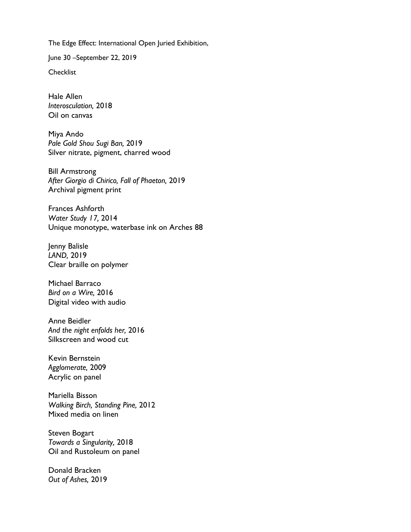The Edge Effect: International Open Juried Exhibition,

June 30 –September 22, 2019

**Checklist** 

Hale Allen *Interosculation,* 2018 Oil on canvas

Miya Ando *Pale Gold Shou Sugi Ban,* 2019 Silver nitrate, pigment, charred wood

Bill Armstrong *After Giorgio di Chirico, Fall of Phaeton,* 2019 Archival pigment print

Frances Ashforth *Water Study 17,* 2014 Unique monotype, waterbase ink on Arches 88

Jenny Balisle *LAND,* 2019 Clear braille on polymer

Michael Barraco *Bird on a Wire,* 2016 Digital video with audio

Anne Beidler *And the night enfolds her,* 2016 Silkscreen and wood cut

Kevin Bernstein *Agglomerate,* 2009 Acrylic on panel

Mariella Bisson *Walking Birch, Standing Pine,* 2012 Mixed media on linen

Steven Bogart *Towards a Singularity,* 2018 Oil and Rustoleum on panel

Donald Bracken *Out of Ashes,* 2019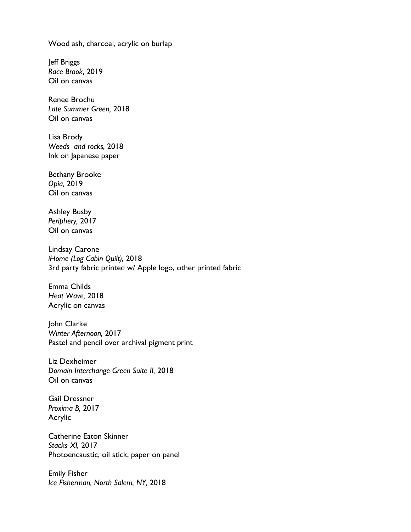Wood ash, charcoal, acrylic on burlap

Jeff Briggs *Race Brook,* 2019 Oil on canvas

Renee Brochu *Late Summer Green,* 2018 Oil on canvas

Lisa Brody *Weeds and rocks,* 2018 Ink on Japanese paper

Bethany Brooke *Opia,* 2019 Oil on canvas

Ashley Busby *Periphery,* 2017 Oil on canvas

Lindsay Carone *iHome (Log Cabin Quilt),* 2018 3rd party fabric printed w/ Apple logo, other printed fabric

Emma Childs *Heat Wave,* 2018 Acrylic on canvas

John Clarke *Winter Afternoon,* 2017 Pastel and pencil over archival pigment print

Liz Dexheimer *Domain Interchange Green Suite II,* 2018 Oil on canvas

Gail Dressner *Proxima B,* 2017 Acrylic

Catherine Eaton Skinner *Stacks XI,* 2017 Photoencaustic, oil stick, paper on panel

Emily Fisher *Ice Fisherman, North Salem, NY,* 2018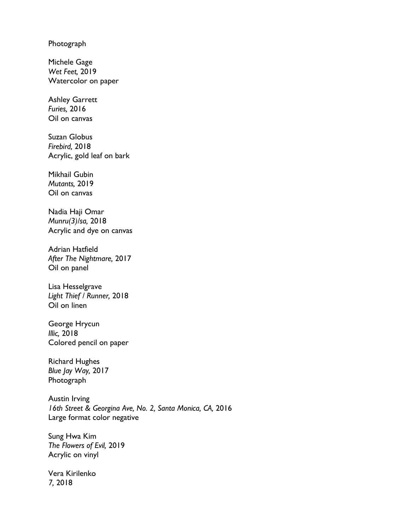## Photograph

Michele Gage *Wet Feet,* 2019 Watercolor on paper

Ashley Garrett *Furies,* 2016 Oil on canvas

Suzan Globus *Firebird,* 2018 Acrylic, gold leaf on bark

Mikhail Gubin *Mutants,* 2019 Oil on canvas

Nadia Haji Omar *Munru(3)/sa,* 2018 Acrylic and dye on canvas

Adrian Hatfield *After The Nightmare,* 2017 Oil on panel

Lisa Hesselgrave *Light Thief / Runner,* 2018 Oil on linen

George Hrycun *Illic,* 2018 Colored pencil on paper

Richard Hughes *Blue Jay Way,* 2017 Photograph

Austin Irving *16th Street & Georgina Ave, No. 2, Santa Monica, CA,* 2016 Large format color negative

Sung Hwa Kim *The Flowers of Evil,* 2019 Acrylic on vinyl

Vera Kirilenko *7,* 2018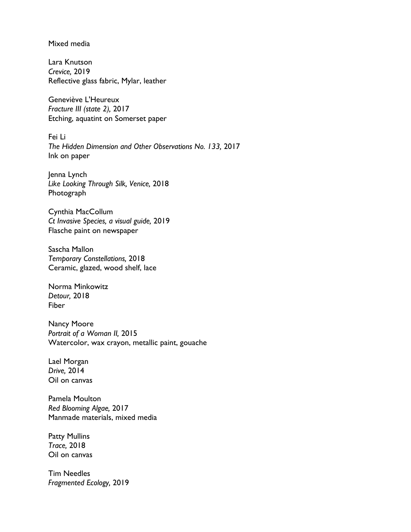Mixed media

Lara Knutson *Crevice,* 2019 Reflective glass fabric, Mylar, leather

Geneviève L'Heureux *Fracture III (state 2),* 2017 Etching, aquatint on Somerset paper

Fei Li *The Hidden Dimension and Other Observations No. 133,* 2017 Ink on paper

Jenna Lynch *Like Looking Through Silk, Venice,* 2018 Photograph

Cynthia MacCollum *Ct Invasive Species, a visual guide,* 2019 Flasche paint on newspaper

Sascha Mallon *Temporary Constellations,* 2018 Ceramic, glazed, wood shelf, lace

Norma Minkowitz *Detour,* 2018 Fiber

Nancy Moore *Portrait of a Woman II,* 2015 Watercolor, wax crayon, metallic paint, gouache

Lael Morgan *Drive,* 2014 Oil on canvas

Pamela Moulton *Red Blooming Algae,* 2017 Manmade materials, mixed media

Patty Mullins *Trace,* 2018 Oil on canvas

Tim Needles *Fragmented Ecology,* 2019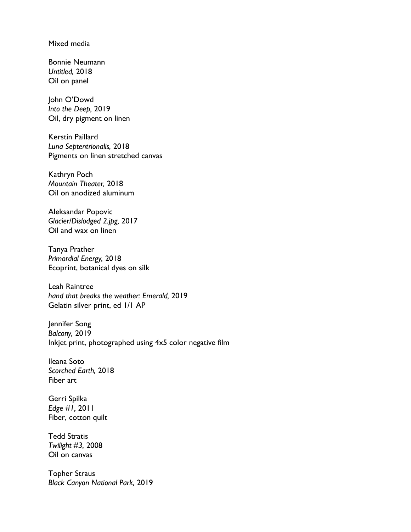Mixed media

Bonnie Neumann *Untitled,* 2018 Oil on panel

John O'Dowd *Into the Deep,* 2019 Oil, dry pigment on linen

Kerstin Paillard *Luna Septentrionalis,* 2018 Pigments on linen stretched canvas

Kathryn Poch *Mountain Theater,* 2018 Oil on anodized aluminum

Aleksandar Popovic *Glacier/Dislodged 2.jpg,* 2017 Oil and wax on linen

Tanya Prather *Primordial Energy,* 2018 Ecoprint, botanical dyes on silk

Leah Raintree *hand that breaks the weather: Emerald,* 2019 Gelatin silver print, ed 1/1 AP

Jennifer Song *Balcony,* 2019 Inkjet print, photographed using 4x5 color negative film

Ileana Soto *Scorched Earth,* 2018 Fiber art

Gerri Spilka *Edge #1,* 2011 Fiber, cotton quilt

Tedd Stratis *Twilight #3,* 2008 Oil on canvas

Topher Straus *Black Canyon National Park,* 2019